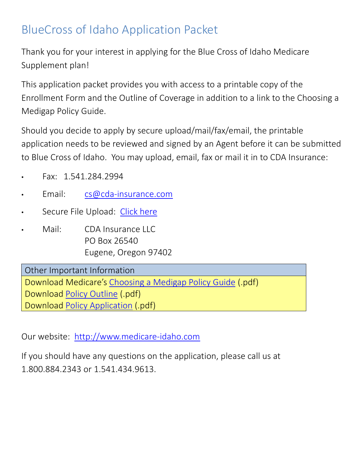# BlueCross of Idaho Application Packet

Thank you for your interest in applying for the Blue Cross of Idaho Medicare Supplement plan!

This application packet provides you with access to a printable copy of the Enrollment Form and the Outline of Coverage in addition to a link to the Choosing a Medigap Policy Guide.

Should you decide to apply by secure upload/mail/fax/email, the printable application needs to be reviewed and signed by an Agent before it can be submitted to Blue Cross of Idaho. You may upload, email, fax or mail it in to CDA Insurance:

- Fax: 1.541.284.2994
- Email: [cs@cda-insurance.com](mailto:cs@cda-insurance.com)
- Secure File Upload: [Click here](https://cda-insurance.citrixdata.com/r/r7a05451975a43c2b)
- Mail: CDA Insurance LLC PO Box 26540 Eugene, Oregon 97402

Other Important Information Download Medicare's [Choosing a Medigap Policy Guide](https://www.medicare.gov/Pubs/pdf/02110-Medicare-Medigap.guide.pdf) (.pdf) Download [Policy Outline](https://medicare-idaho.com/shared/docs/medigap/ID/BC_of_Idaho/2022/ooc.pdf) (.pdf) Download [Policy Application](https://medicare-idaho.com/shared/docs/medigap/ID/BC_of_Idaho/2022/app.pdf) (.pdf)

Our website: [http://www.medicare-idaho.com](https://medicare-idaho.com/medigap/blue_cross_of_idaho.html)

If you should have any questions on the application, please call us at 1.800.884.2343 or 1.541.434.9613.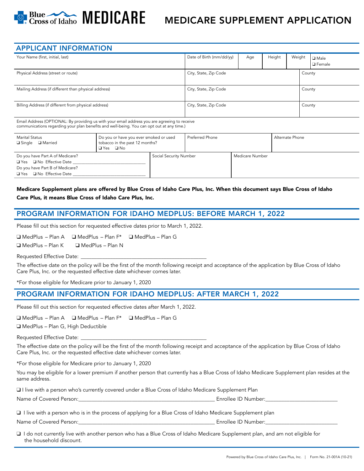

# MEDICARE SUPPLEMENT APPLICATION

| <b>APPLICANT INFORMATION</b>                         |                                 |     |        |        |                             |
|------------------------------------------------------|---------------------------------|-----|--------|--------|-----------------------------|
| Your Name (first, initial, last)                     | Date of Birth (mm/dd/yy)        | Age | Height | Weight | <b>□</b> Male<br>l □ Female |
| Physical Address (street or route)                   | City, State, Zip Code           |     |        | County |                             |
| Mailing Address (if different than physical address) | City, State, Zip Code<br>County |     |        |        |                             |
| Billing Address (if different from physical address) | City, State, Zip Code<br>County |     |        |        |                             |

Email Address (OPTIONAL: By providing us with your email address you are agreeing to receive communications regarding your plan benefits and well-being. You can opt out at any time.)

| <b>Marital Status</b><br>□ Single □ Married                                                                                                      | Do you or have you ever smoked or used<br>tobacco in the past 12 months?<br>$\Box$ Yes $\Box$ No |                        | <b>Preferred Phone</b> |                 | Alternate Phone |
|--------------------------------------------------------------------------------------------------------------------------------------------------|--------------------------------------------------------------------------------------------------|------------------------|------------------------|-----------------|-----------------|
| Do you have Part A of Medicare?<br>$\Box$ Yes $\Box$ No Effective Date<br>Do you have Part B of Medicare?<br>$\Box$ Yes $\Box$ No Effective Date |                                                                                                  | Social Security Number |                        | Medicare Number |                 |

Medicare Supplement plans are offered by Blue Cross of Idaho Care Plus, Inc. When this document says Blue Cross of Idaho Care Plus, it means Blue Cross of Idaho Care Plus, Inc.

#### PROGRAM INFORMATION FOR IDAHO MEDPLUS: BEFORE MARCH 1, 2022

Please fill out this section for requested effective dates prior to March 1, 2022.

❑ MedPlus – Plan A ❑ MedPlus – Plan F\* ❑ MedPlus – Plan G

❑ MedPlus – Plan K ❑ MedPlus – Plan N

Requested Effective Date:

The effective date on the policy will be the first of the month following receipt and acceptance of the application by Blue Cross of Idaho Care Plus, Inc. or the requested effective date whichever comes later.

\*For those eligible for Medicare prior to January 1, 2020

#### PROGRAM INFORMATION FOR IDAHO MEDPLUS: AFTER MARCH 1, 2022

Please fill out this section for requested effective dates after March 1, 2022.

❑ MedPlus – Plan A ❑ MedPlus – Plan F\* ❑ MedPlus – Plan G

❑ MedPlus – Plan G, High Deductible

Requested Effective Date:

The effective date on the policy will be the first of the month following receipt and acceptance of the application by Blue Cross of Idaho Care Plus, Inc. or the requested effective date whichever comes later.

\*For those eligible for Medicare prior to January 1, 2020

You may be eligible for a lower premium if another person that currently has a Blue Cross of Idaho Medicare Supplement plan resides at the same address.

❑ I live with a person who's currently covered under a Blue Cross of Idaho Medicare Supplement Plan

Name of Covered Person:\_\_\_\_\_\_\_\_\_\_\_\_\_\_\_\_\_\_\_\_\_\_\_\_\_\_\_\_\_\_\_\_\_\_\_\_\_\_\_\_\_\_\_\_\_\_\_\_\_\_\_ Enrollee ID Number:\_\_\_\_\_\_\_\_\_\_\_\_\_\_\_\_\_\_\_\_\_\_\_\_\_\_\_

❑ I live with a person who is in the process of applying for a Blue Cross of Idaho Medicare Supplement plan

Name of Covered Person:\_\_\_\_\_\_\_\_\_\_\_\_\_\_\_\_\_\_\_\_\_\_\_\_\_\_\_\_\_\_\_\_\_\_\_\_\_\_\_\_\_\_\_\_\_\_\_\_\_\_\_ Enrollee ID Number:\_\_\_\_\_\_\_\_\_\_\_\_\_\_\_\_\_\_\_\_\_\_\_\_\_\_\_

❑ I do not currently live with another person who has a Blue Cross of Idaho Medicare Supplement plan, and am not eligible for the household discount.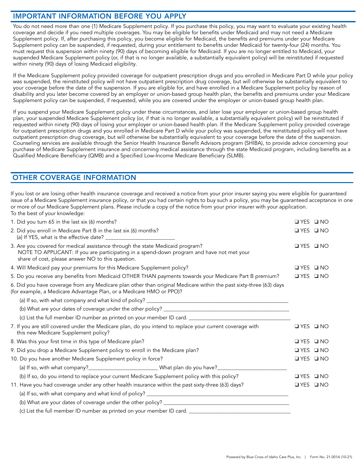#### IMPORTANT INFORMATION BEFORE YOU APPLY

You do not need more than one (1) Medicare Supplement policy. If you purchase this policy, you may want to evaluate your existing health coverage and decide if you need multiple coverages. You may be eligible for benefits under Medicaid and may not need a Medicare Supplement policy. If, after purchasing this policy, you become eligible for Medicaid, the benefits and premiums under your Medicare Supplement policy can be suspended, if requested, during your entitlement to benefits under Medicaid for twenty-four (24) months. You must request this suspension within ninety (90) days of becoming eligible for Medicaid. If you are no longer entitled to Medicaid, your suspended Medicare Supplement policy (or, if that is no longer available, a substantially equivalent policy) will be reinstituted if requested within ninety (90) days of losing Medicaid eligibility.

If the Medicare Supplement policy provided coverage for outpatient prescription drugs and you enrolled in Medicare Part D while your policy was suspended, the reinstituted policy will not have outpatient prescription drug coverage, but will otherwise be substantially equivalent to your coverage before the date of the suspension. If you are eligible for, and have enrolled in a Medicare Supplement policy by reason of disability and you later become covered by an employer or union-based group health plan, the benefits and premiums under your Medicare Supplement policy can be suspended, if requested, while you are covered under the employer or union-based group health plan.

If you suspend your Medicare Supplement policy under these circumstances, and later lose your employer or union-based group health plan, your suspended Medicare Supplement policy (or, if that is no longer available, a substantially equivalent policy) will be reinstituted if requested within ninety (90) days of losing your employer or union-based health plan. If the Medicare Supplement policy provided coverage for outpatient prescription drugs and you enrolled in Medicare Part D while your policy was suspended, the reinstituted policy will not have outpatient prescription drug coverage, but will otherwise be substantially equivalent to your coverage before the date of the suspension. Counseling services are available through the Senior Health Insurance Benefit Advisors program (SHIBA), to provide advice concerning your purchase of Medicare Supplement insurance and concerning medical assistance through the state Medicaid program, including benefits as a Qualified Medicare Beneficiary (QMB) and a Specified Low-Income Medicare Beneficiary (SLMB).

#### OTHER COVERAGE INFORMATION

If you lost or are losing other health insurance coverage and received a notice from your prior insurer saying you were eligible for guaranteed issue of a Medicare Supplement insurance policy, or that you had certain rights to buy such a policy, you may be guaranteed acceptance in one or more of our Medicare Supplement plans. Please include a copy of the notice from your prior insurer with your application. To the best of your knowledge:

| 1. Did you turn 65 in the last six (6) months?                                                                                                                                                                                  | $YES$ $N$                  |
|---------------------------------------------------------------------------------------------------------------------------------------------------------------------------------------------------------------------------------|----------------------------|
| 2. Did you enroll in Medicare Part B in the last six (6) months?                                                                                                                                                                | $\Box$ YES $\Box$ NO       |
| 3. Are you covered for medical assistance through the state Medicaid program?<br>NOTE TO APPLICANT: If you are participating in a spend-down program and have not met your<br>share of cost, please answer NO to this question. | $YES$ $N$                  |
| 4. Will Medicaid pay your premiums for this Medicare Supplement policy?                                                                                                                                                         | $\Box$ YES<br>$\square$ NO |
| 5. Do you receive any benefits from Medicaid OTHER THAN payments towards your Medicare Part B premium?                                                                                                                          | $\Box$ YES $\Box$ NO       |
| 6. Did you have coverage from any Medicare plan other than original Medicare within the past sixty-three (63) days<br>(for example, a Medicare Advantage Plan, or a Medicare HMO or PPO)?                                       |                            |
|                                                                                                                                                                                                                                 |                            |
|                                                                                                                                                                                                                                 |                            |
|                                                                                                                                                                                                                                 |                            |
| 7. If you are still covered under the Medicare plan, do you intend to replace your current coverage with<br>this new Medicare Supplement policy?                                                                                | $YES$ $N$                  |
| 8. Was this your first time in this type of Medicare plan?                                                                                                                                                                      | $YES$ $N$                  |
| 9. Did you drop a Medicare Supplement policy to enroll in the Medicare plan?                                                                                                                                                    | IYES INO                   |
| 10. Do you have another Medicare Supplement policy in force?                                                                                                                                                                    | IYES INO                   |
| (a) If so, with what company?___________________________________What plan do you have?______________                                                                                                                            |                            |
| (b) If so, do you intend to replace your current Medicare Supplement policy with this policy?                                                                                                                                   | $\Box$ YES $\Box$ NO       |
| 11. Have you had coverage under any other health insurance within the past sixty-three (63) days?                                                                                                                               | UYES UNO                   |
|                                                                                                                                                                                                                                 |                            |
|                                                                                                                                                                                                                                 |                            |
|                                                                                                                                                                                                                                 |                            |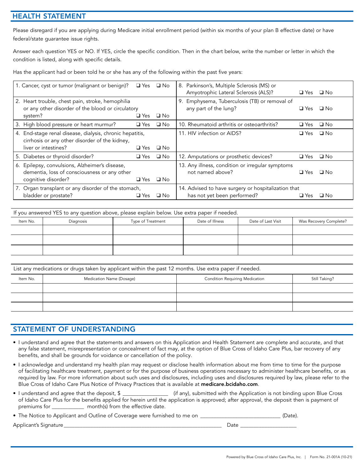#### HEALTH STATEMENT

Please disregard if you are applying during Medicare initial enrollment period (within six months of your plan B effective date) or have federal/state guarantee issue rights.

Answer each question YES or NO. If YES, circle the specific condition. Then in the chart below, write the number or letter in which the condition is listed, along with specific details.

Has the applicant had or been told he or she has any of the following within the past five years:

| 1. Cancer, cyst or tumor (malignant or benign)?          |               | $\Box$ Yes $\Box$ No | 8. Parkinson's, Multiple Sclerosis (MS) or          |              |              |
|----------------------------------------------------------|---------------|----------------------|-----------------------------------------------------|--------------|--------------|
|                                                          |               |                      | Amyotrophic Lateral Sclerosis (ALS)?                | $\Box$ Yes   | $\Box$ No    |
|                                                          |               |                      |                                                     |              |              |
| 2. Heart trouble, chest pain, stroke, hemophilia         |               |                      | 9. Emphysema, Tuberculosis (TB) or removal of       |              |              |
| or any other disorder of the blood or circulatory        |               |                      | any part of the lung?                               | $\sqcup$ Yes | $\Box$ No    |
| system?                                                  | $\Box$ Yes    | $\Box$ No            |                                                     |              |              |
| 3. High blood pressure or heart murmur?                  | $\Box$ Yes    | $\Box$ No            | 10. Rheumatoid arthritis or osteoarthritis?         | $\Box$ Yes   | $\square$ No |
| 4. End-stage renal disease, dialysis, chronic hepatitis, |               |                      | 11. HIV infection or AIDS?                          | $\Box$ Yes   | $\Box$ No    |
| cirrhosis or any other disorder of the kidney,           |               |                      |                                                     |              |              |
| liver or intestines?                                     | $\Box$ Yes    | $\Box$ No            |                                                     |              |              |
| 5. Diabetes or thyroid disorder?                         | $\Box$ Yes    | $\square$ No         | 12. Amputations or prosthetic devices?              | $\Box$ Yes   | $\square$ No |
| 6. Epilepsy, convulsions, Alzheimer's disease,           |               |                      | 13. Any illness, condition or irregular symptoms    |              |              |
| dementia, loss of consciousness or any other             |               |                      | not named above?                                    | $\Box$ Yes   | $\Box$ No    |
| cognitive disorder?                                      | $\square$ Yes | $\square$ No         |                                                     |              |              |
| 7. Organ transplant or any disorder of the stomach,      |               |                      | 14. Advised to have surgery or hospitalization that |              |              |
| bladder or prostate?                                     | $\sqcup$ Yes  | □ No                 | has not yet been performed?                         | $\sqcup$ Yes | $\Box$ No    |

|          | If you answered YES to any question above, please explain below. Use extra paper if needed. |                   |                 |                    |                        |
|----------|---------------------------------------------------------------------------------------------|-------------------|-----------------|--------------------|------------------------|
| Item No. | Diagnosis                                                                                   | Type of Treatment | Date of Illness | Date of Last Visit | Was Recovery Complete? |
|          |                                                                                             |                   |                 |                    |                        |
|          |                                                                                             |                   |                 |                    |                        |
|          |                                                                                             |                   |                 |                    |                        |

List any medications or drugs taken by applicant within the past 12 months. Use extra paper if needed.

| Item No. | Medication Name (Dosage) | Condition Requiring Medication | Still Taking? |
|----------|--------------------------|--------------------------------|---------------|
|          |                          |                                |               |
|          |                          |                                |               |
|          |                          |                                |               |

#### STATEMENT OF UNDERSTANDING

- I understand and agree that the statements and answers on this Application and Health Statement are complete and accurate, and that any false statement, misrepresentation or concealment of fact may, at the option of Blue Cross of Idaho Care Plus, bar recovery of any benefits, and shall be grounds for voidance or cancellation of the policy.
- I acknowledge and understand my health plan may request or disclose health information about me from time to time for the purpose of facilitating healthcare treatment, payment or for the purpose of business operations necessary to administer healthcare benefits, or as required by law. For more information about such uses and disclosures, including uses and disclosures required by law, please refer to the Blue Cross of Idaho Care Plus Notice of Privacy Practices that is available at medicare.bcidaho.com.

| • I understand and agree that the deposit, $\frac{1}{2}$ | (if any), submitted with the Application is not binding upon Blue Cross                                                                  |
|----------------------------------------------------------|------------------------------------------------------------------------------------------------------------------------------------------|
|                                                          | of Idaho Care Plus for the benefits applied for herein until the application is approved; after approval, the deposit then is payment of |
| month(s) from the effective date.<br>premiums for        |                                                                                                                                          |

• The Notice to Applicant and Outline of Coverage were furnished to me on \_\_\_\_\_\_\_\_\_\_\_\_\_\_\_\_\_\_\_\_\_\_\_\_\_\_\_\_\_\_\_(Date)

Applicant's Signature\_\_\_\_\_\_\_\_\_\_\_\_\_\_\_\_\_\_\_\_\_\_\_\_\_\_\_\_\_\_\_\_\_\_\_\_\_\_\_\_\_\_\_\_\_\_\_\_\_\_\_\_\_\_\_\_\_\_\_ Date \_\_\_\_\_\_\_\_\_\_\_\_\_\_\_\_\_\_\_\_\_

| <br>٠<br>×<br>×<br>I<br>٠ |  |
|---------------------------|--|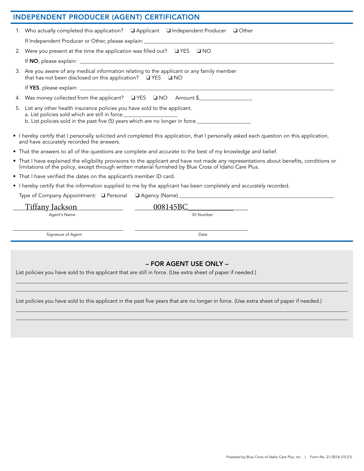| <b>INDEPENDENT PRODUCER (AGENT) CERTIFICATION</b>                                                                                                                                                                                                 |
|---------------------------------------------------------------------------------------------------------------------------------------------------------------------------------------------------------------------------------------------------|
| 1. Who actually completed this application? Q Applicant Q Independent Producer Q Other                                                                                                                                                            |
|                                                                                                                                                                                                                                                   |
| 2. Were you present at the time the application was filled out? QYES Q NO                                                                                                                                                                         |
|                                                                                                                                                                                                                                                   |
| 3. Are you aware of any medical information relating to the applicant or any family member<br>that has not been disclosed on this application? QYES Q NO                                                                                          |
|                                                                                                                                                                                                                                                   |
| 4. Was money collected from the applicant? QYES QNO Amount \$                                                                                                                                                                                     |
| 5. List any other health insurance policies you have sold to the applicant.<br>a. List policies sold which are still in force.<br>b. List policies sold in the past five (5) years which are no longer in force.                                  |
| • I hereby certify that I personally solicited and completed this application, that I personally asked each question on this application,<br>and have accurately recorded the answers.                                                            |
| • That the answers to all of the questions are complete and accurate to the best of my knowledge and belief.                                                                                                                                      |
| • That I have explained the eligibility provisions to the applicant and have not made any representations about benefits, conditions or<br>limitations of the policy, except through written material furnished by Blue Cross of Idaho Care Plus. |
| • That I have verified the dates on the applicant's member ID card.                                                                                                                                                                               |
| • I hereby certify that the information supplied to me by the applicant has been completely and accurately recorded.                                                                                                                              |
|                                                                                                                                                                                                                                                   |
| 008145BC                                                                                                                                                                                                                                          |
| Agent's Name<br>ID Number                                                                                                                                                                                                                         |
| Signature of Agent<br>Date                                                                                                                                                                                                                        |
|                                                                                                                                                                                                                                                   |

### – FOR AGENT USE ONLY –

\_\_\_\_\_\_\_\_\_\_\_\_\_\_\_\_\_\_\_\_\_\_\_\_\_\_\_\_\_\_\_\_\_\_\_\_\_\_\_\_\_\_\_\_\_\_\_\_\_\_\_\_\_\_\_\_\_\_\_\_\_\_\_\_\_\_\_\_\_\_\_\_\_\_\_\_\_\_\_\_\_\_\_\_\_\_\_\_\_\_\_\_\_\_\_\_\_\_\_\_\_\_\_\_\_\_\_\_\_\_\_\_\_\_\_\_\_\_\_\_\_\_\_\_  $\Box \Box \Box \Box \Box \Box \Box$  . The contract of the contract of the contract of the contract of the contract of the contract of the contract of the contract of the contract of the contract of the contract of the contract of the contra

\_\_\_\_\_\_\_\_\_\_\_\_\_\_\_\_\_\_\_\_\_\_\_\_\_\_\_\_\_\_\_\_\_\_\_\_\_\_\_\_\_\_\_\_\_\_\_\_\_\_\_\_\_\_\_\_\_\_\_\_\_\_\_\_\_\_\_\_\_\_\_\_\_\_\_\_\_\_\_\_\_\_\_\_\_\_\_\_\_\_\_\_\_\_\_\_\_\_\_\_\_\_\_\_\_\_\_\_\_\_\_\_\_\_\_\_\_\_\_\_\_\_\_\_  $\Box \Box \Box \Box \Box \Box \Box$  . The contract of the contract of the contract of the contract of the contract of the contract of the contract of the contract of the contract of the contract of the contract of the contract of the contra

List policies you have sold to this applicant that are still in force. (Use extra sheet of paper if needed.)

List policies you have sold to this applicant in the past five years that are no longer in force. (Use extra sheet of paper if needed.)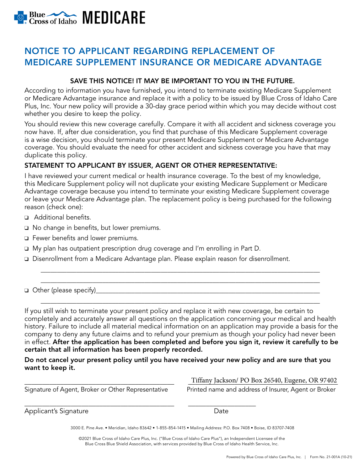

# NOTICE TO APPLICANT REGARDING REPLACEMENT OF MEDICARE SUPPLEMENT INSURANCE OR MEDICARE ADVANTAGE

#### SAVE THIS NOTICE! IT MAY BE IMPORTANT TO YOU IN THE FUTURE.

According to information you have furnished, you intend to terminate existing Medicare Supplement or Medicare Advantage insurance and replace it with a policy to be issued by Blue Cross of Idaho Care Plus, Inc. Your new policy will provide a 30-day grace period within which you may decide without cost whether you desire to keep the policy.

You should review this new coverage carefully. Compare it with all accident and sickness coverage you now have. If, after due consideration, you find that purchase of this Medicare Supplement coverage is a wise decision, you should terminate your present Medicare Supplement or Medicare Advantage coverage. You should evaluate the need for other accident and sickness coverage you have that may duplicate this policy.

#### STATEMENT TO APPLICANT BY ISSUER, AGENT OR OTHER REPRESENTATIVE:

I have reviewed your current medical or health insurance coverage. To the best of my knowledge, this Medicare Supplement policy will not duplicate your existing Medicare Supplement or Medicare Advantage coverage because you intend to terminate your existing Medicare Supplement coverage or leave your Medicare Advantage plan. The replacement policy is being purchased for the following reason (check one):

- ❑ Additional benefits.
- ❑ No change in benefits, but lower premiums.
- ❑ Fewer benefits and lower premiums.
- ❑ My plan has outpatient prescription drug coverage and I'm enrolling in Part D.
- ❑ Disenrollment from a Medicare Advantage plan. Please explain reason for disenrollment.

❑ Other (please specify)\_\_\_\_\_\_\_\_\_\_\_\_\_\_\_\_\_\_\_\_\_\_\_\_\_\_\_\_\_\_\_\_\_\_\_\_\_\_\_\_\_\_\_\_\_\_\_\_\_\_\_\_\_\_\_\_\_\_\_\_\_\_\_\_\_\_\_\_\_

If you still wish to terminate your present policy and replace it with new coverage, be certain to completely and accurately answer all questions on the application concerning your medical and health history. Failure to include all material medical information on an application may provide a basis for the company to deny any future claims and to refund your premium as though your policy had never been in effect. After the application has been completed and before you sign it, review it carefully to be certain that all information has been properly recorded.

\_\_\_\_\_\_\_\_\_\_\_\_\_\_\_\_\_\_\_\_\_\_\_\_\_\_\_\_\_\_\_\_\_\_\_\_\_\_\_\_\_\_\_\_\_\_\_\_\_\_\_\_\_\_\_\_\_\_\_\_\_\_\_\_\_\_\_\_\_\_\_\_\_\_\_\_\_\_\_\_\_\_\_\_\_\_ \_\_\_\_\_\_\_\_\_\_\_\_\_\_\_\_\_\_\_\_\_\_\_\_\_\_\_\_\_\_\_\_\_\_\_\_\_\_\_\_\_\_\_\_\_\_\_\_\_\_\_\_\_\_\_\_\_\_\_\_\_\_\_\_\_\_\_\_\_\_\_\_\_\_\_\_\_\_\_\_\_\_\_\_\_\_

\_\_\_\_\_\_\_\_\_\_\_\_\_\_\_\_\_\_\_\_\_\_\_\_\_\_\_\_\_\_\_\_\_\_\_\_\_\_\_\_\_\_\_\_\_\_\_\_\_\_\_\_\_\_\_\_\_\_\_\_\_\_\_\_\_\_\_\_\_\_\_\_\_\_\_\_\_\_\_\_\_\_\_\_\_\_

Do not cancel your present policy until you have received your new policy and are sure that you want to keep it.

Signature of Agent, Broker or Other Representative Printed name and address of Insurer, Agent or Broker

\_\_\_\_\_\_\_\_\_\_\_\_\_\_\_\_\_\_\_\_\_\_\_\_\_\_\_\_\_\_\_\_\_\_\_\_\_\_\_\_\_\_ \_\_\_\_\_\_\_\_\_\_\_\_\_\_\_\_\_\_\_\_\_\_\_\_\_\_\_\_\_\_\_\_\_\_\_\_\_\_\_\_\_\_ Tiffany Jackson/ PO Box 26540, Eugene, OR 97402

\_\_\_\_\_\_\_\_\_\_\_\_\_\_\_\_\_\_\_\_\_\_\_\_\_\_\_\_\_\_\_\_\_\_\_\_\_\_\_\_\_\_ \_\_\_\_\_\_\_\_\_\_\_\_\_\_\_\_\_\_\_ Applicant's Signature **Date** 

3000 E. Pine Ave. • Meridian, Idaho 83642 • 1-855-854-1415 • Mailing Address: P.O. Box 7408 • Boise, ID 83707-7408

©2021 Blue Cross of Idaho Care Plus, Inc. ("Blue Cross of Idaho Care Plus"), an Independent Licensee of the Blue Cross Blue Shield Association, with services provided by Blue Cross of Idaho Health Service, Inc.